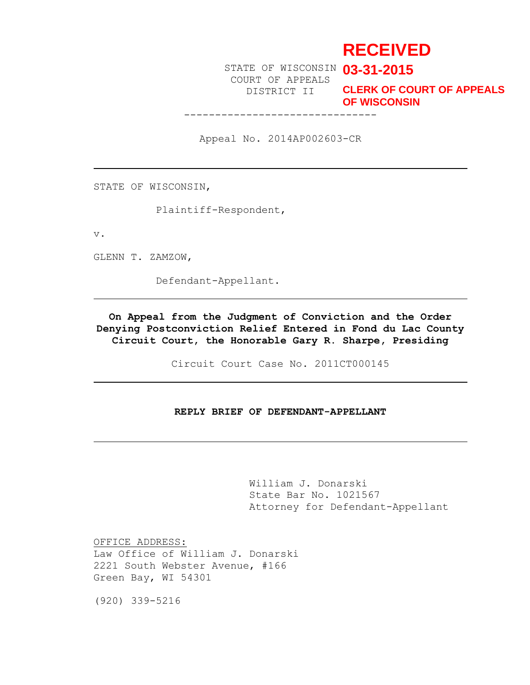# **RECEIVED**

STATE OF WISCONSIN **03-31-2015** COURT OF APPEALS DISTRICT II

-------------------------------

**CLERK OF COURT OF APPEALS OF WISCONSIN**

Appeal No. 2014AP002603-CR

STATE OF WISCONSIN,

Plaintiff-Respondent,

v.

GLENN T. ZAMZOW,

Defendant-Appellant.

**On Appeal from the Judgment of Conviction and the Order Denying Postconviction Relief Entered in Fond du Lac County Circuit Court, the Honorable Gary R. Sharpe, Presiding**

Circuit Court Case No. 2011CT000145

# **REPLY BRIEF OF DEFENDANT-APPELLANT**

William J. Donarski State Bar No. 1021567 Attorney for Defendant-Appellant

OFFICE ADDRESS: Law Office of William J. Donarski 2221 South Webster Avenue, #166 Green Bay, WI 54301

(920) 339-5216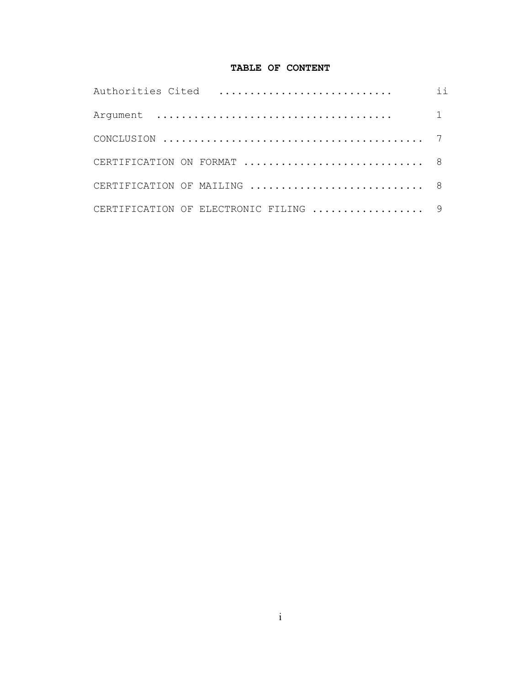# **TABLE OF CONTENT**

|                                                                                                         | $\mathbf{i}$ $\mathbf{i}$ |
|---------------------------------------------------------------------------------------------------------|---------------------------|
|                                                                                                         |                           |
| CONCLUSION $\ldots \ldots \ldots \ldots \ldots \ldots \ldots \ldots \ldots \ldots \ldots \ldots \ldots$ |                           |
|                                                                                                         |                           |
|                                                                                                         |                           |
| CERTIFICATION OF ELECTRONIC FILING  9                                                                   |                           |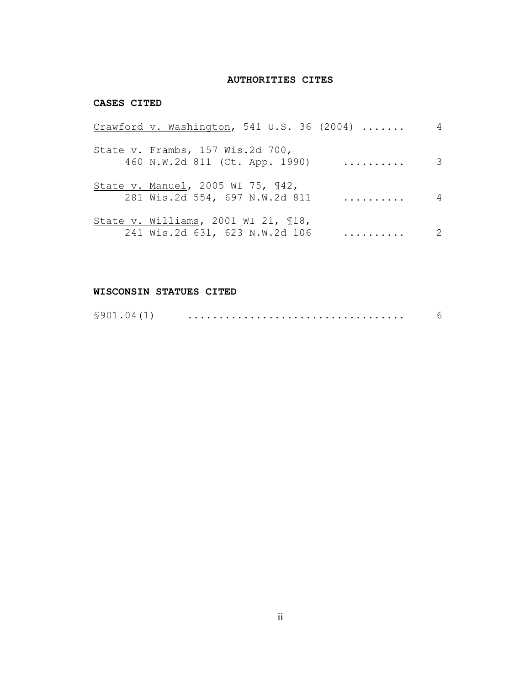# **AUTHORITIES CITES**

## **CASES CITED**

| Crawford v. Washington, 541 U.S. 36 (2004)                                |   | 4                          |
|---------------------------------------------------------------------------|---|----------------------------|
| State v. Frambs, 157 Wis.2d 700,<br>460 N.W.2d 811 (Ct. App. 1990)        |   | $\overline{\mathbf{3}}$    |
| State v. Manuel, 2005 WI 75, 142,<br>281 Wis.2d 554, 697 N.W.2d 811       | . | 4                          |
| State v. Williams, 2001 WI 21, $\P$ 18,<br>241 Wis.2d 631, 623 N.W.2d 106 | . | $\overline{\phantom{0}}^2$ |

# **WISCONSIN STATUES CITED**

| \$901.04(1) |  |  |
|-------------|--|--|
|-------------|--|--|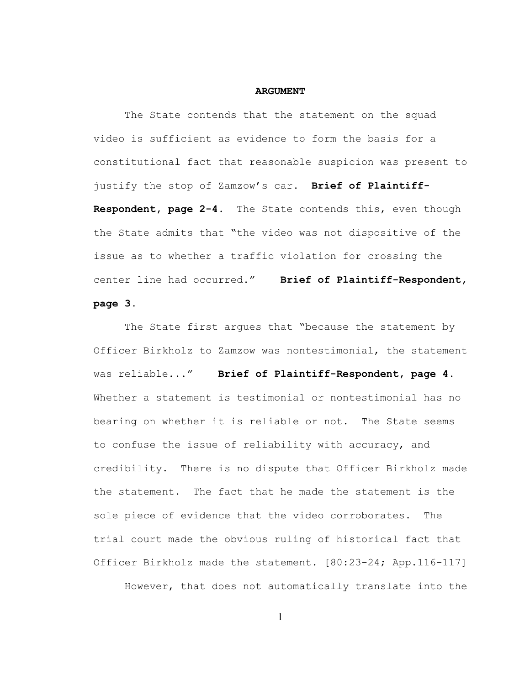#### **ARGUMENT**

The State contends that the statement on the squad video is sufficient as evidence to form the basis for a constitutional fact that reasonable suspicion was present to justify the stop of Zamzow's car. **Brief of Plaintiff-Respondent, page 2-4.** The State contends this, even though the State admits that "the video was not dispositive of the issue as to whether a traffic violation for crossing the center line had occurred." **Brief of Plaintiff-Respondent, page 3.**

The State first argues that "because the statement by Officer Birkholz to Zamzow was nontestimonial, the statement was reliable..." **Brief of Plaintiff-Respondent, page 4.** Whether a statement is testimonial or nontestimonial has no bearing on whether it is reliable or not. The State seems to confuse the issue of reliability with accuracy, and credibility. There is no dispute that Officer Birkholz made the statement. The fact that he made the statement is the sole piece of evidence that the video corroborates. The trial court made the obvious ruling of historical fact that Officer Birkholz made the statement. [80:23-24; App.116-117]

However, that does not automatically translate into the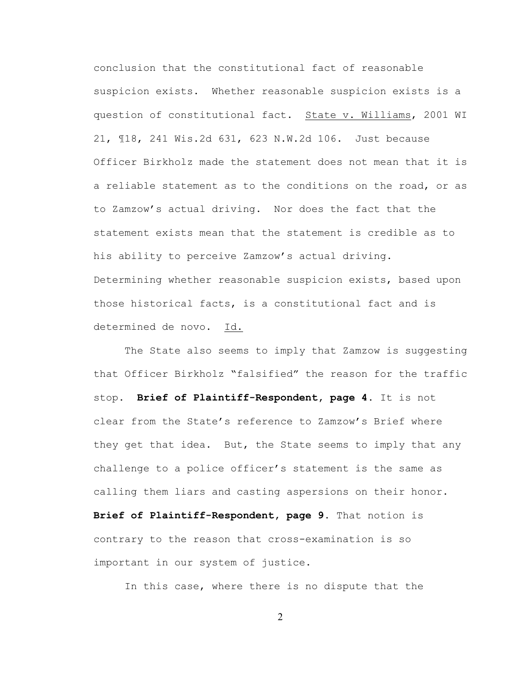conclusion that the constitutional fact of reasonable suspicion exists. Whether reasonable suspicion exists is a question of constitutional fact. State v. Williams, 2001 WI 21, ¶18, 241 Wis.2d 631, 623 N.W.2d 106. Just because Officer Birkholz made the statement does not mean that it is a reliable statement as to the conditions on the road, or as to Zamzow's actual driving. Nor does the fact that the statement exists mean that the statement is credible as to his ability to perceive Zamzow's actual driving. Determining whether reasonable suspicion exists, based upon those historical facts, is a constitutional fact and is determined de novo. Id.

The State also seems to imply that Zamzow is suggesting that Officer Birkholz "falsified" the reason for the traffic stop. **Brief of Plaintiff-Respondent, page 4.** It is not clear from the State's reference to Zamzow's Brief where they get that idea. But, the State seems to imply that any challenge to a police officer's statement is the same as calling them liars and casting aspersions on their honor. **Brief of Plaintiff-Respondent, page 9.** That notion is contrary to the reason that cross-examination is so important in our system of justice.

In this case, where there is no dispute that the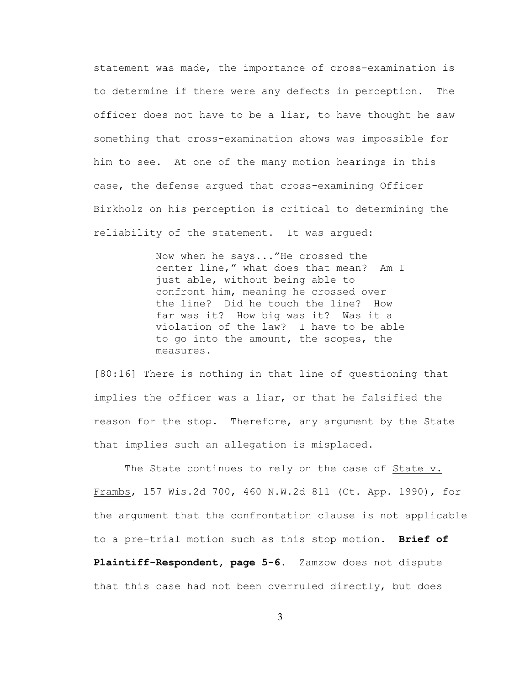statement was made, the importance of cross-examination is to determine if there were any defects in perception. The officer does not have to be a liar, to have thought he saw something that cross-examination shows was impossible for him to see. At one of the many motion hearings in this case, the defense argued that cross-examining Officer Birkholz on his perception is critical to determining the reliability of the statement. It was argued:

> Now when he says..."He crossed the center line," what does that mean? Am I just able, without being able to confront him, meaning he crossed over the line? Did he touch the line? How far was it? How big was it? Was it a violation of the law? I have to be able to go into the amount, the scopes, the measures.

[80:16] There is nothing in that line of questioning that implies the officer was a liar, or that he falsified the reason for the stop. Therefore, any argument by the State that implies such an allegation is misplaced.

The State continues to rely on the case of State v. Frambs, 157 Wis.2d 700, 460 N.W.2d 811 (Ct. App. 1990), for the argument that the confrontation clause is not applicable to a pre-trial motion such as this stop motion. **Brief of Plaintiff-Respondent, page 5-6.** Zamzow does not dispute that this case had not been overruled directly, but does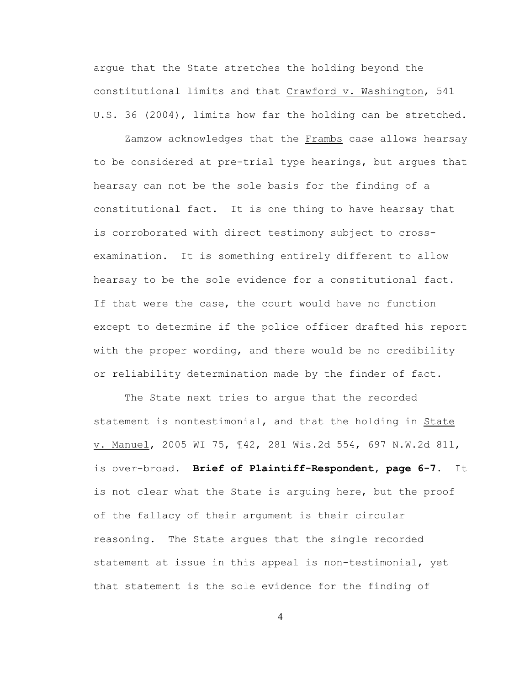argue that the State stretches the holding beyond the constitutional limits and that Crawford v. Washington, 541 U.S. 36 (2004), limits how far the holding can be stretched.

Zamzow acknowledges that the Frambs case allows hearsay to be considered at pre-trial type hearings, but argues that hearsay can not be the sole basis for the finding of a constitutional fact. It is one thing to have hearsay that is corroborated with direct testimony subject to crossexamination. It is something entirely different to allow hearsay to be the sole evidence for a constitutional fact. If that were the case, the court would have no function except to determine if the police officer drafted his report with the proper wording, and there would be no credibility or reliability determination made by the finder of fact.

The State next tries to argue that the recorded statement is nontestimonial, and that the holding in State v. Manuel, 2005 WI 75, ¶42, 281 Wis.2d 554, 697 N.W.2d 811, is over-broad. **Brief of Plaintiff-Respondent, page 6-7.** It is not clear what the State is arguing here, but the proof of the fallacy of their argument is their circular reasoning. The State argues that the single recorded statement at issue in this appeal is non-testimonial, yet that statement is the sole evidence for the finding of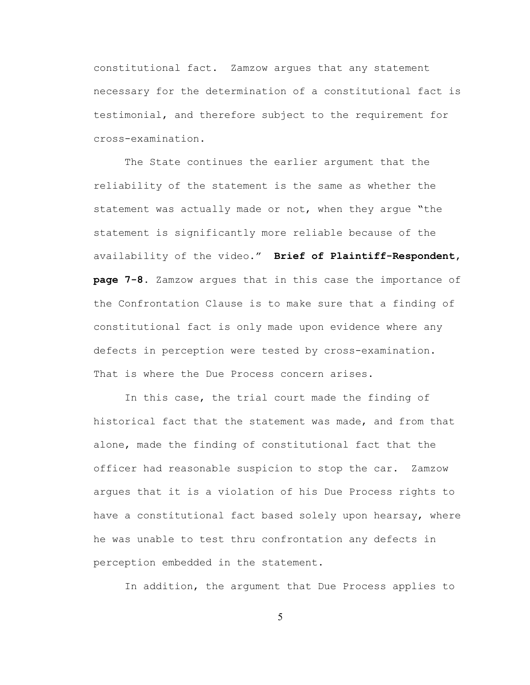constitutional fact. Zamzow argues that any statement necessary for the determination of a constitutional fact is testimonial, and therefore subject to the requirement for cross-examination.

The State continues the earlier argument that the reliability of the statement is the same as whether the statement was actually made or not, when they argue "the statement is significantly more reliable because of the availability of the video." **Brief of Plaintiff-Respondent, page 7-8.** Zamzow argues that in this case the importance of the Confrontation Clause is to make sure that a finding of constitutional fact is only made upon evidence where any defects in perception were tested by cross-examination. That is where the Due Process concern arises.

In this case, the trial court made the finding of historical fact that the statement was made, and from that alone, made the finding of constitutional fact that the officer had reasonable suspicion to stop the car. Zamzow argues that it is a violation of his Due Process rights to have a constitutional fact based solely upon hearsay, where he was unable to test thru confrontation any defects in perception embedded in the statement.

In addition, the argument that Due Process applies to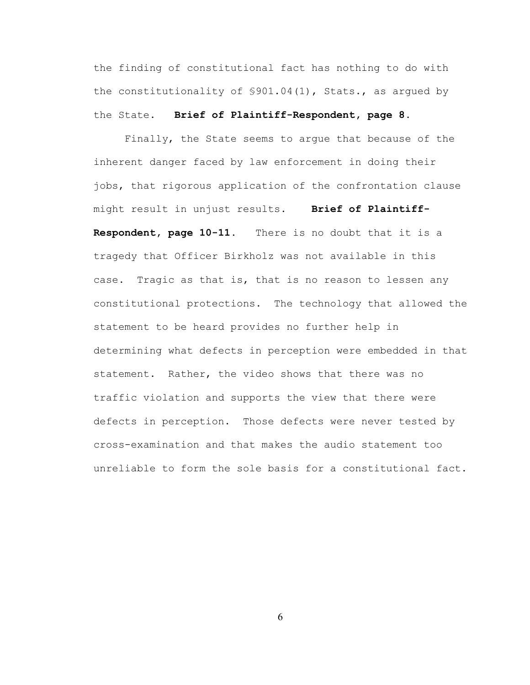the finding of constitutional fact has nothing to do with the constitutionality of  $$901.04(1)$ , Stats., as argued by the State. **Brief of Plaintiff-Respondent, page 8.**

Finally, the State seems to argue that because of the inherent danger faced by law enforcement in doing their jobs, that rigorous application of the confrontation clause might result in unjust results. **Brief of Plaintiff-Respondent, page 10-11.** There is no doubt that it is a tragedy that Officer Birkholz was not available in this case. Tragic as that is, that is no reason to lessen any constitutional protections. The technology that allowed the statement to be heard provides no further help in determining what defects in perception were embedded in that statement. Rather, the video shows that there was no traffic violation and supports the view that there were defects in perception. Those defects were never tested by cross-examination and that makes the audio statement too unreliable to form the sole basis for a constitutional fact.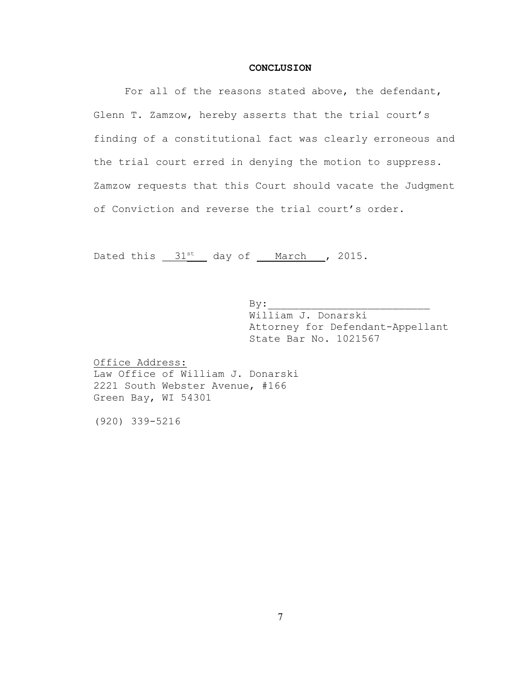## **CONCLUSION**

For all of the reasons stated above, the defendant, Glenn T. Zamzow, hereby asserts that the trial court's finding of a constitutional fact was clearly erroneous and the trial court erred in denying the motion to suppress. Zamzow requests that this Court should vacate the Judgment of Conviction and reverse the trial court's order.

Dated this  $31<sup>st</sup>$  day of <u>March</u> , 2015.

 $\mathbf{By:}$ William J. Donarski Attorney for Defendant-Appellant State Bar No. 1021567

Office Address: Law Office of William J. Donarski 2221 South Webster Avenue, #166 Green Bay, WI 54301

(920) 339-5216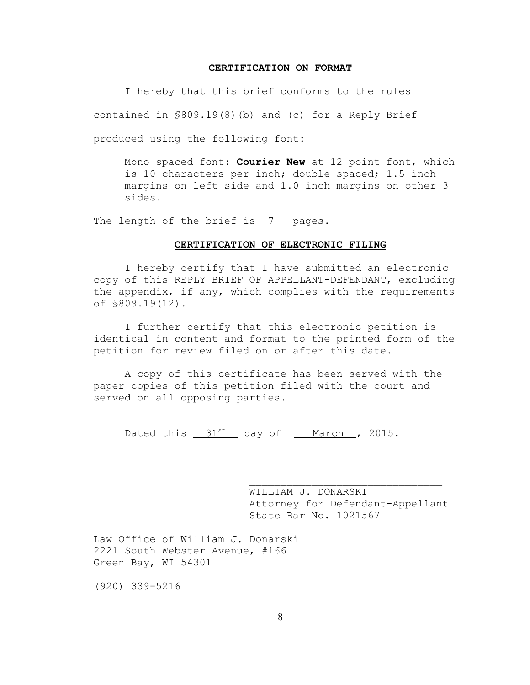#### **CERTIFICATION ON FORMAT**

I hereby that this brief conforms to the rules contained in §809.19(8)(b) and (c) for a Reply Brief produced using the following font:

Mono spaced font: **Courier New** at 12 point font, which is 10 characters per inch; double spaced; 1.5 inch margins on left side and 1.0 inch margins on other 3 sides.

The length of the brief is 7 pages.

#### **CERTIFICATION OF ELECTRONIC FILING**

I hereby certify that I have submitted an electronic copy of this REPLY BRIEF OF APPELLANT-DEFENDANT, excluding the appendix, if any, which complies with the requirements of §809.19(12).

I further certify that this electronic petition is identical in content and format to the printed form of the petition for review filed on or after this date.

A copy of this certificate has been served with the paper copies of this petition filed with the court and served on all opposing parties.

Dated this  $31^{st}$  day of <u>March</u>, 2015.

WILLIAM J. DONARSKI Attorney for Defendant-Appellant State Bar No. 1021567

 $\mathcal{L}_\text{max}$ 

Law Office of William J. Donarski 2221 South Webster Avenue, #166 Green Bay, WI 54301

(920) 339-5216